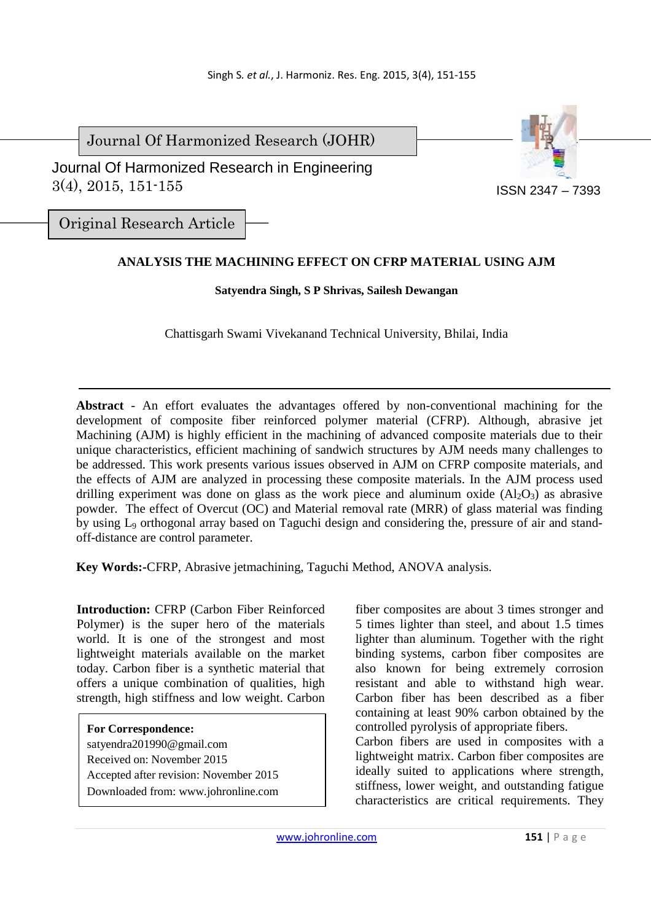Journal Of Harmonized Research (JOHR)

Journal Of Harmonized Research in Engineering



3(4), 2015, 151-155

Original Research Article

# **ANALYSIS THE MACHINING EFFECT ON CFRP MATERIAL USING AJM**

#### **Satyendra Singh, S P Shrivas, Sailesh Dewangan**

Chattisgarh Swami Vivekanand Technical University, Bhilai, India

**Abstract** *-* An effort evaluates the advantages offered by non-conventional machining for the development of composite fiber reinforced polymer material (CFRP). Although, abrasive jet Machining (AJM) is highly efficient in the machining of advanced composite materials due to their unique characteristics, efficient machining of sandwich structures by AJM needs many challenges to be addressed. This work presents various issues observed in AJM on CFRP composite materials, and the effects of AJM are analyzed in processing these composite materials. In the AJM process used drilling experiment was done on glass as the work piece and aluminum oxide  $(A<sub>12</sub>O<sub>3</sub>)$  as abrasive powder. The effect of Overcut (OC) and Material removal rate (MRR) of glass material was finding by using L9 orthogonal array based on Taguchi design and considering the, pressure of air and standoff-distance are control parameter.

**Key Words:-**CFRP, Abrasive jetmachining, Taguchi Method, ANOVA analysis.

**Introduction:** CFRP (Carbon Fiber Reinforced Polymer) is the super hero of the materials world. It is one of the strongest and most lightweight materials available on the market today. Carbon fiber is a synthetic material that offers a unique combination of qualities, high strength, high stiffness and low weight. Carbon

**For Correspondence:**  satyendra201990@gmail.com Received on: November 2015 Accepted after revision: November 2015 Downloaded from: www.johronline.com fiber composites are about 3 times stronger and 5 times lighter than steel, and about 1.5 times lighter than aluminum. Together with the right binding systems, carbon fiber composites are also known for being extremely corrosion resistant and able to withstand high wear. Carbon fiber has been described as a fiber containing at least 90% carbon obtained by the controlled pyrolysis of appropriate fibers.

Carbon fibers are used in composites with a lightweight matrix. Carbon fiber composites are ideally suited to applications where strength, stiffness, lower weight, and outstanding fatigue characteristics are critical requirements. They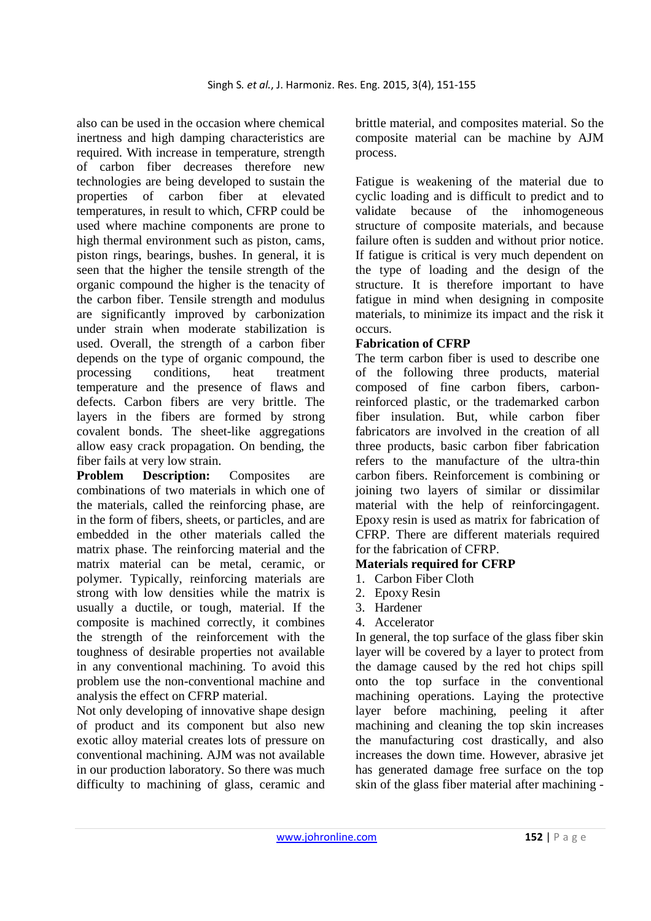also can be used in the occasion where chemical inertness and high damping characteristics are required. With increase in temperature, strength of carbon fiber decreases therefore new technologies are being developed to sustain the properties of carbon fiber at elevated temperatures, in result to which, CFRP could be used where machine components are prone to high thermal environment such as piston, cams, piston rings, bearings, bushes. In general, it is seen that the higher the tensile strength of the organic compound the higher is the tenacity of the carbon fiber. Tensile strength and modulus are significantly improved by carbonization under strain when moderate stabilization is used. Overall, the strength of a carbon fiber depends on the type of organic compound, the processing conditions, heat treatment temperature and the presence of flaws and defects. Carbon fibers are very brittle. The layers in the fibers are formed by strong covalent bonds. The sheet-like aggregations allow easy crack propagation. On bending, the fiber fails at very low strain.

**Problem Description:** Composites are combinations of two materials in which one of the materials, called the reinforcing phase, are in the form of fibers, sheets, or particles, and are embedded in the other materials called the matrix phase. The reinforcing material and the matrix material can be metal, ceramic, or polymer. Typically, reinforcing materials are strong with low densities while the matrix is usually a ductile, or tough, material. If the composite is machined correctly, it combines the strength of the reinforcement with the toughness of desirable properties not available in any conventional machining. To avoid this problem use the non-conventional machine and analysis the effect on CFRP material.

Not only developing of innovative shape design of product and its component but also new exotic alloy material creates lots of pressure on conventional machining. AJM was not available in our production laboratory. So there was much difficulty to machining of glass, ceramic and brittle material, and composites material. So the composite material can be machine by AJM process.

Fatigue is weakening of the material due to cyclic loading and is difficult to predict and to validate because of the inhomogeneous structure of composite materials, and because failure often is sudden and without prior notice. If fatigue is critical is very much dependent on the type of loading and the design of the structure. It is therefore important to have fatigue in mind when designing in composite materials, to minimize its impact and the risk it occurs.

## **Fabrication of CFRP**

The term carbon fiber is used to describe one of the following three products, material composed of fine carbon fibers, carbonreinforced plastic, or the trademarked carbon fiber insulation. But, while carbon fiber fabricators are involved in the creation of all three products, basic carbon fiber fabrication refers to the manufacture of the ultra-thin carbon fibers. Reinforcement is combining or joining two layers of similar or dissimilar material with the help of reinforcingagent. Epoxy resin is used as matrix for fabrication of CFRP. There are different materials required for the fabrication of CFRP.

## **Materials required for CFRP**

- 1. Carbon Fiber Cloth
- 2. Epoxy Resin
- 3. Hardener
- 4. Accelerator

In general, the top surface of the glass fiber skin layer will be covered by a layer to protect from the damage caused by the red hot chips spill onto the top surface in the conventional machining operations. Laying the protective layer before machining, peeling it after machining and cleaning the top skin increases the manufacturing cost drastically, and also increases the down time. However, abrasive jet has generated damage free surface on the top skin of the glass fiber material after machining -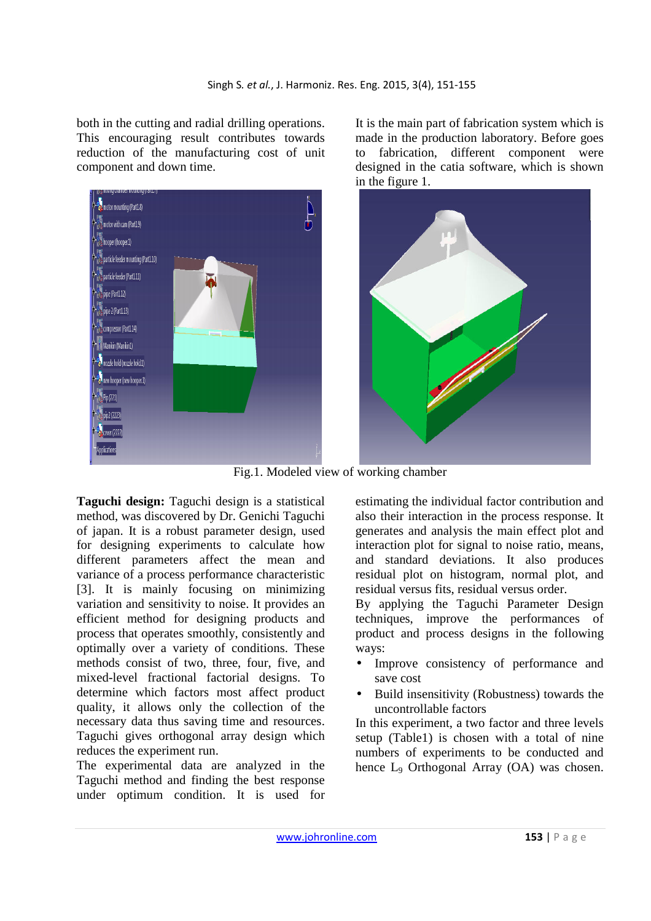both in the cutting and radial drilling operations. This encouraging result contributes towards reduction of the manufacturing cost of unit component and down time.



It is the main part of fabrication system which is made in the production laboratory. Before goes to fabrication, different component were designed in the catia software, which is shown in the figure 1.



Fig.1. Modeled view of working chamber

**Taguchi design:** Taguchi design is a statistical method, was discovered by Dr. Genichi Taguchi of japan. It is a robust parameter design, used for designing experiments to calculate how different parameters affect the mean and variance of a process performance characteristic [3]. It is mainly focusing on minimizing variation and sensitivity to noise. It provides an efficient method for designing products and process that operates smoothly, consistently and optimally over a variety of conditions. These methods consist of two, three, four, five, and mixed-level fractional factorial designs. To determine which factors most affect product quality, it allows only the collection of the necessary data thus saving time and resources. Taguchi gives orthogonal array design which reduces the experiment run.

The experimental data are analyzed in the Taguchi method and finding the best response under optimum condition. It is used for estimating the individual factor contribution and also their interaction in the process response. It generates and analysis the main effect plot and interaction plot for signal to noise ratio, means, and standard deviations. It also produces residual plot on histogram, normal plot, and residual versus fits, residual versus order.

By applying the Taguchi Parameter Design techniques, improve the performances of product and process designs in the following ways:

- Improve consistency of performance and save cost
- Build insensitivity (Robustness) towards the uncontrollable factors

In this experiment, a two factor and three levels setup (Table1) is chosen with a total of nine numbers of experiments to be conducted and hence L<sub>9</sub> Orthogonal Array (OA) was chosen.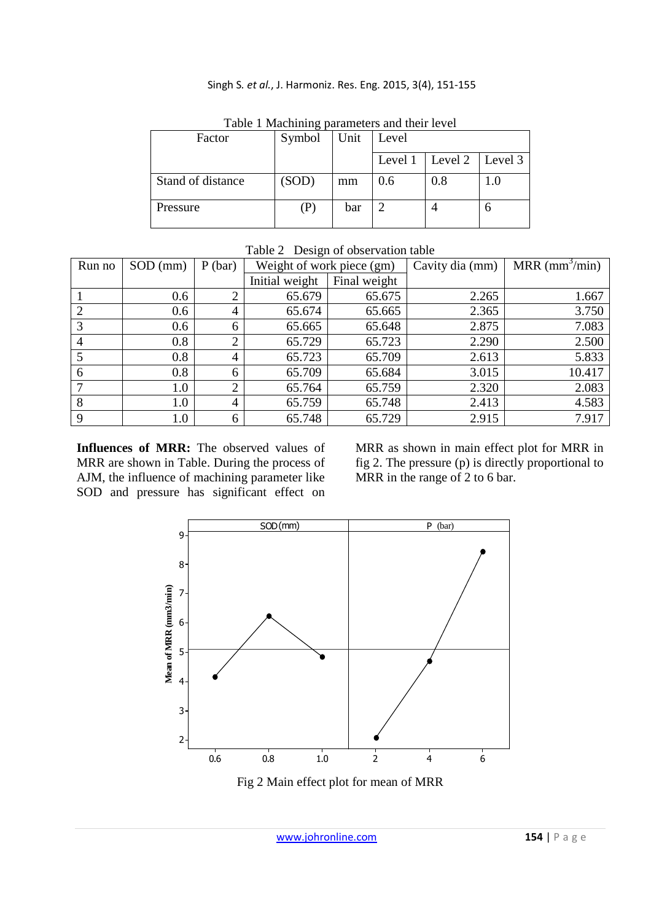#### Singh S*. et al.*, J. Harmoniz. Res. Eng. 2015, 3(4), 151-155

| Tuble 1 machining parameters and their level |        |      |         |                   |     |  |  |  |  |
|----------------------------------------------|--------|------|---------|-------------------|-----|--|--|--|--|
| Factor                                       | Symbol | Unit | Level   |                   |     |  |  |  |  |
|                                              |        |      |         |                   |     |  |  |  |  |
|                                              |        |      | Level 1 | Level 2   Level 3 |     |  |  |  |  |
| Stand of distance                            | (SOD)  | mm   | 0.6     | 0.8               | 1.0 |  |  |  |  |
| Pressure                                     | (P)    | bar  |         |                   |     |  |  |  |  |

Table 1 Machining parameters and their level

Table 2 Design of observation table

| Run no | $SOD$ (mm) | $P$ (bar)      | Weight of work piece (gm) |              | Cavity dia (mm) | MRR $\text{(mm}^3/\text{min})$ |
|--------|------------|----------------|---------------------------|--------------|-----------------|--------------------------------|
|        |            |                | Initial weight            | Final weight |                 |                                |
|        | 0.6        |                | 65.679                    | 65.675       | 2.265           | 1.667                          |
|        | 0.6        | $\overline{4}$ | 65.674                    | 65.665       | 2.365           | 3.750                          |
| 3      | 0.6        | 6              | 65.665                    | 65.648       | 2.875           | 7.083                          |
| 4      | 0.8        | $\bigcap$      | 65.729                    | 65.723       | 2.290           | 2.500                          |
|        | 0.8        | $\overline{4}$ | 65.723                    | 65.709       | 2.613           | 5.833                          |
| 6      | 0.8        | 6              | 65.709                    | 65.684       | 3.015           | 10.417                         |
|        | 1.0        | $\bigcap$      | 65.764                    | 65.759       | 2.320           | 2.083                          |
| 8      | 1.0        | $\overline{4}$ | 65.759                    | 65.748       | 2.413           | 4.583                          |
| 9      | 1.0        | 6              | 65.748                    | 65.729       | 2.915           | 7.917                          |

Influences of MRR: The observed values of MRR are shown in Table. During the process of AJM, the influence of machining parameter like SOD and pressure has significant effect on MRR as shown in main effect plot for MRR in fig 2. The pressure (p) is directly proportional to MRR in the range of 2 to 6 bar.



Fig 2 Main effect plot for mean of MRR